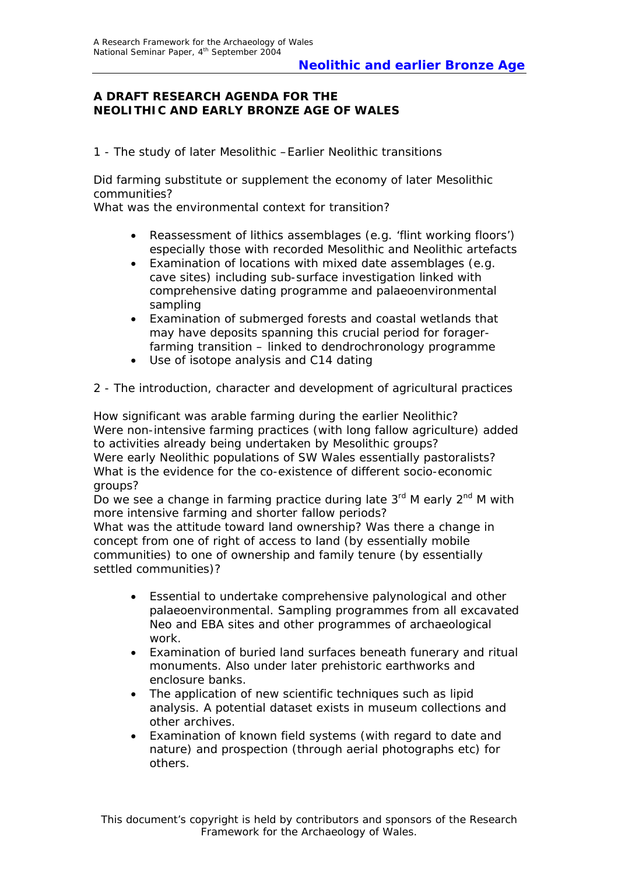### **A DRAFT RESEARCH AGENDA FOR THE NEOLITHIC AND EARLY BRONZE AGE OF WALES**

#### *1 - The study of later Mesolithic –Earlier Neolithic transitions*

Did farming substitute or supplement the economy of later Mesolithic communities?

What was the environmental context for transition?

- Reassessment of lithics assemblages (e.g. 'flint working floors') especially those with recorded Mesolithic and Neolithic artefacts
- Examination of locations with mixed date assemblages (e.g. cave sites) including sub-surface investigation linked with comprehensive dating programme and palaeoenvironmental sampling
- Examination of submerged forests and coastal wetlands that may have deposits spanning this crucial period for foragerfarming transition – linked to dendrochronology programme
- Use of isotope analysis and C14 dating

#### *2 - The introduction, character and development of agricultural practices*

How significant was arable farming during the earlier Neolithic? Were non-intensive farming practices (with long fallow agriculture) added to activities already being undertaken by Mesolithic groups? Were early Neolithic populations of SW Wales essentially pastoralists? What is the evidence for the co-existence of different socio-economic groups?

Do we see a change in farming practice during late  $3<sup>rd</sup>$  M early  $2<sup>nd</sup>$  M with more intensive farming and shorter fallow periods?

What was the attitude toward land ownership? Was there a change in concept from one of right of access to land (by essentially mobile communities) to one of ownership and family tenure (by essentially settled communities)?

- Essential to undertake comprehensive palynological and other palaeoenvironmental. Sampling programmes from all excavated Neo and EBA sites and other programmes of archaeological work.
- Examination of buried land surfaces beneath funerary and ritual monuments. Also under later prehistoric earthworks and enclosure banks.
- The application of new scientific techniques such as lipid analysis. A potential dataset exists in museum collections and other archives.
- Examination of known field systems (with regard to date and nature) and prospection (through aerial photographs etc) for others.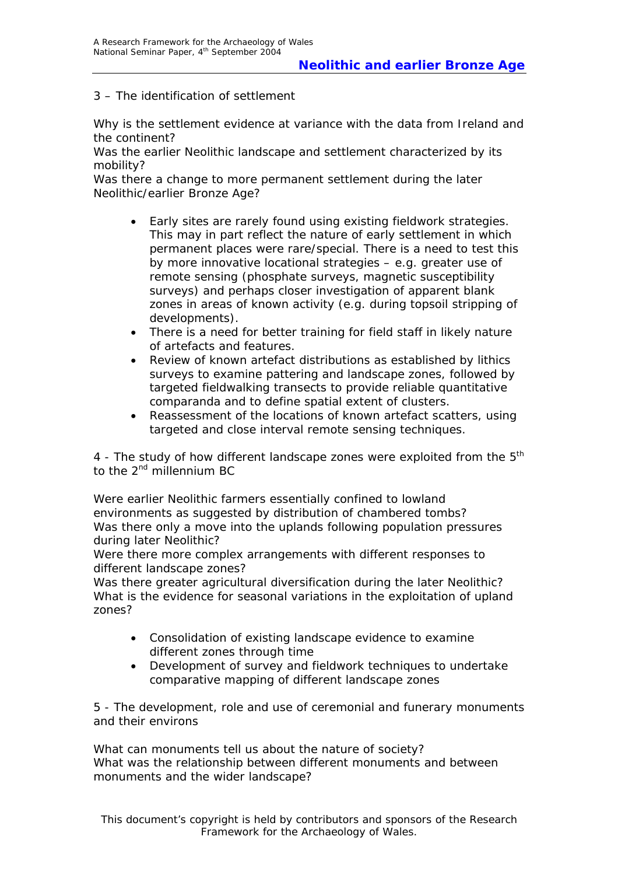### *3 – The identification of settlement*

Why is the settlement evidence at variance with the data from Ireland and the continent?

Was the earlier Neolithic landscape and settlement characterized by its mobility?

Was there a change to more permanent settlement during the later Neolithic/earlier Bronze Age?

- Early sites are rarely found using existing fieldwork strategies. This may in part reflect the nature of early settlement in which permanent places were rare/special. There is a need to test this by more innovative locational strategies – e.g. greater use of remote sensing (phosphate surveys, magnetic susceptibility surveys) and perhaps closer investigation of apparent blank zones in areas of known activity (e.g. during topsoil stripping of developments).
- There is a need for better training for field staff in likely nature of artefacts and features.
- Review of known artefact distributions as established by lithics surveys to examine pattering and landscape zones, followed by targeted fieldwalking transects to provide reliable quantitative comparanda and to define spatial extent of clusters.
- Reassessment of the locations of known artefact scatters, using targeted and close interval remote sensing techniques.

#### *4 - The study of how different landscape zones were exploited from the 5th to the 2nd millennium BC*

Were earlier Neolithic farmers essentially confined to lowland environments as suggested by distribution of chambered tombs? Was there only a move into the uplands following population pressures during later Neolithic?

Were there more complex arrangements with different responses to different landscape zones?

Was there greater agricultural diversification during the later Neolithic? What is the evidence for seasonal variations in the exploitation of upland zones?

- Consolidation of existing landscape evidence to examine different zones through time
- Development of survey and fieldwork techniques to undertake comparative mapping of different landscape zones

*5 - The development, role and use of ceremonial and funerary monuments and their environs* 

What can monuments tell us about the nature of society? What was the relationship between different monuments and between monuments and the wider landscape?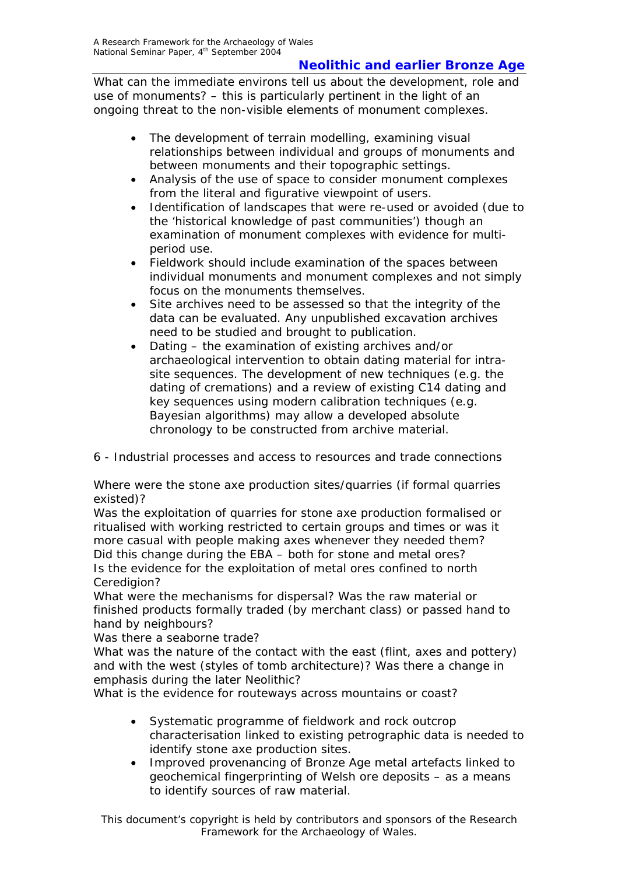# **Neolithic and earlier Bronze Age**

What can the immediate environs tell us about the development, role and use of monuments? – this is particularly pertinent in the light of an ongoing threat to the non-visible elements of monument complexes.

- The development of terrain modelling, examining visual relationships between individual and groups of monuments and between monuments and their topographic settings.
- Analysis of the use of space to consider monument complexes from the literal and figurative viewpoint of users.
- Identification of landscapes that were re-used or avoided (due to the 'historical knowledge of past communities') though an examination of monument complexes with evidence for multiperiod use.
- Fieldwork should include examination of the spaces between individual monuments and monument complexes and not simply focus on the monuments themselves.
- Site archives need to be assessed so that the integrity of the data can be evaluated. Any unpublished excavation archives need to be studied and brought to publication.
- Dating the examination of existing archives and/or archaeological intervention to obtain dating material for intrasite sequences. The development of new techniques (e.g. the dating of cremations) and a review of existing C14 dating and key sequences using modern calibration techniques (e.g. Bayesian algorithms) may allow a developed absolute chronology to be constructed from archive material.

### *6 - Industrial processes and access to resources and trade connections*

Where were the stone axe production sites/quarries (if formal quarries existed)?

Was the exploitation of quarries for stone axe production formalised or ritualised with working restricted to certain groups and times or was it more casual with people making axes whenever they needed them? Did this change during the EBA – both for stone and metal ores? Is the evidence for the exploitation of metal ores confined to north Ceredigion?

What were the mechanisms for dispersal? Was the raw material or finished products formally traded (by merchant class) or passed hand to hand by neighbours?

Was there a seaborne trade?

What was the nature of the contact with the east (flint, axes and pottery) and with the west (styles of tomb architecture)? Was there a change in emphasis during the later Neolithic?

What is the evidence for routeways across mountains or coast?

- Systematic programme of fieldwork and rock outcrop characterisation linked to existing petrographic data is needed to identify stone axe production sites.
- Improved provenancing of Bronze Age metal artefacts linked to geochemical fingerprinting of Welsh ore deposits – as a means to identify sources of raw material.